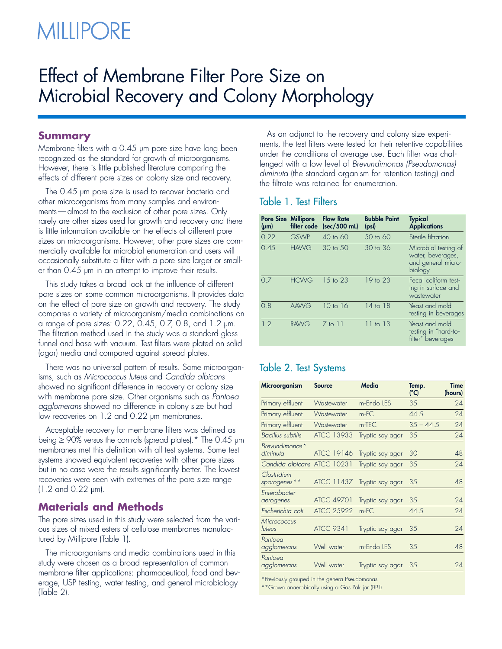# **MILLIPORE**

## Effect of Membrane Filter Pore Size on Microbial Recovery and Colony Morphology

### **Summary**

Membrane filters with a 0.45 µm pore size have long been recognized as the standard for growth of microorganisms. However, there is little published literature comparing the effects of different pore sizes on colony size and recovery.

The 0.45 µm pore size is used to recover bacteria and other microorganisms from many samples and environments—almost to the exclusion of other pore sizes. Only rarely are other sizes used for growth and recovery and there is little information available on the effects of different pore sizes on microorganisms. However, other pore sizes are commercially available for microbial enumeration and users will occasionally substitute a filter with a pore size larger or smaller than 0.45 µm in an attempt to improve their results.

This study takes a broad look at the influence of different pore sizes on some common microorganisms. It provides data on the effect of pore size on growth and recovery. The study compares a variety of microorganism/media combinations on a range of pore sizes: 0.22, 0.45, 0.7, 0.8, and 1.2 µm. The filtration method used in the study was a standard glass funnel and base with vacuum. Test filters were plated on solid (agar) media and compared against spread plates.

There was no universal pattern of results. Some microorganisms, such as Micrococcus luteus and Candida albicans showed no significant difference in recovery or colony size with membrane pore size. Other organisms such as Pantoea agglomerans showed no difference in colony size but had low recoveries on 1.2 and 0.22 µm membranes.

Acceptable recovery for membrane filters was defined as being ≥ 90% versus the controls (spread plates).\* The 0.45 µm membranes met this definition with all test systems. Some test systems showed equivalent recoveries with other pore sizes but in no case were the results significantly better. The lowest recoveries were seen with extremes of the pore size range (1.2 and 0.22 µm).

### **Materials and Methods**

The pore sizes used in this study were selected from the various sizes of mixed esters of cellulose membranes manufactured by Millipore (Table 1).

The microorganisms and media combinations used in this study were chosen as a broad representation of common membrane filter applications: pharmaceutical, food and beverage, USP testing, water testing, and general microbiology (Table 2).

As an adjunct to the recovery and colony size experiments, the test filters were tested for their retentive capabilities under the conditions of average use. Each filter was challenged with a low level of Brevundimonas (Pseudomonas) diminuta (the standard organism for retention testing) and the filtrate was retained for enumeration.

### Table 1. Test Filters

| <b>Pore Size Millipore</b><br>$(\mu m)$ | filter code | <b>Flow Rate</b><br>(sec/500 mL) | <b>Bubble Point</b><br>(psi) | <b>Typical</b><br><b>Applications</b>                                      |
|-----------------------------------------|-------------|----------------------------------|------------------------------|----------------------------------------------------------------------------|
| 0.22                                    | <b>GSWP</b> | $40$ to 60                       | $50$ to 60                   | Sterile filtration                                                         |
| 0.45                                    | <b>HAWG</b> | $30 \text{ to } 50$              | $30$ to $36$                 | Microbial testing of<br>water, beverages,<br>and general micro-<br>biology |
| 07                                      | <b>HCWG</b> | 15 to 23                         | 19 to 23                     | Fecal coliform test-<br>ing in surface and<br>wastewater                   |
| 0.8                                     | <b>AAWG</b> | $10$ to $16$                     | 14 to 18                     | Yeast and mold<br>testing in beverages                                     |
| 1.2                                     | <b>RAWG</b> | $7$ to $11$                      | $11$ to $13$                 | Yeast and mold<br>testing in "hard-to-<br>filter" beverages                |

### Table 2. Test Systems

| Microorganism               | <b>Source</b>     | Media            | Temp.<br>(°C) | Time<br>(hours) |
|-----------------------------|-------------------|------------------|---------------|-----------------|
| Primary effluent            | Wastewater        | m-Endo LES       | 35            | 24              |
| Primary effluent            | Wastewater        | m-FC             | 44.5          | 24              |
| Primary effluent            | Wastewater        | m-TEC            | $35 - 44.5$   | 24              |
| <b>Bacillus</b> subtilis    | <b>ATCC 13933</b> | Tryptic soy agar | 35            | 24              |
| Brevundimonas*<br>diminuta  | <b>ATCC 19146</b> | Tryptic soy agar | 30            | 48              |
| Candida albicans ATCC 10231 |                   | Tryptic soy agar | 35            | 24              |
| Clostridium<br>sporogenes** | <b>ATCC 11437</b> | Tryptic soy agar | 35            | 48              |
| Enterobacter<br>aerogenes   | <b>ATCC 49701</b> | Tryptic soy agar | 35            | 24              |
| Escherichia coli            | <b>ATCC 25922</b> | m-FC             | 44.5          | 24              |
| Micrococcus<br>luteus       | <b>ATCC 9341</b>  | Tryptic soy agar | 35            | 24              |
| Pantoea<br>agglomerans      | Well water        | m-Endo LES       | 35            | 48              |
| Pantoea<br>agglomerans      | Well water        | Tryptic soy agar | 35            | 24              |

\*Previously grouped in the genera Pseudomonas

\*\*Grown anaerobically using a Gas Pak jar (BBL)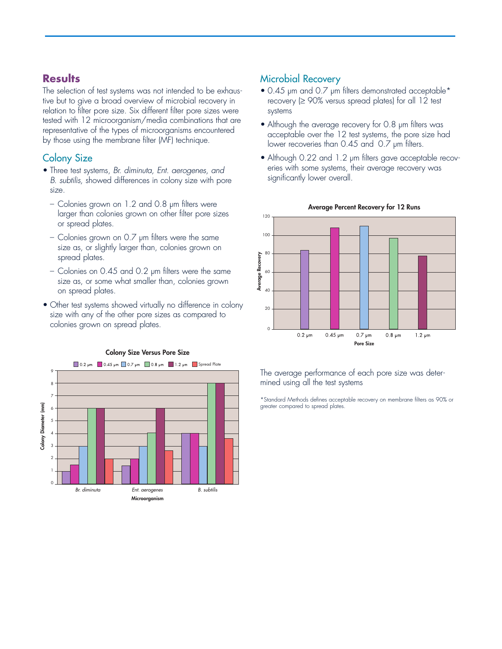### **Results**

The selection of test systems was not intended to be exhaustive but to give a broad overview of microbial recovery in relation to filter pore size. Six different filter pore sizes were tested with 12 microorganism/media combinations that are representative of the types of microorganisms encountered by those using the membrane filter (MF) technique.

### Colony Size

- Three test systems, Br. diminuta, Ent. aerogenes, and B. subtilis, showed differences in colony size with pore size.
	- Colonies grown on 1.2 and 0.8 µm filters were larger than colonies grown on other filter pore sizes or spread plates.
	- Colonies grown on 0.7 µm filters were the same size as, or slightly larger than, colonies grown on spread plates.
	- Colonies on 0.45 and 0.2 µm filters were the same size as, or some what smaller than, colonies grown on spread plates.
- Other test systems showed virtually no difference in colony size with any of the other pore sizes as compared to colonies grown on spread plates.



### **Colony Size Versus Pore Size**

Microbial Recovery

- 0.45 µm and 0.7 µm filters demonstrated acceptable\* recovery  $(≥ 90%$  versus spread plates) for all 12 test systems
- Although the average recovery for 0.8 µm filters was acceptable over the 12 test systems, the pore size had lower recoveries than 0.45 and 0.7 µm filters.
- Although 0.22 and 1.2 µm filters gave acceptable recoveries with some systems, their average recovery was significantly lower overall.



### **Average Percent Recovery for 12 Runs**

### The average performance of each pore size was determined using all the test systems

\*Standard Methods defines acceptable recovery on membrane filters as 90% or greater compared to spread plates.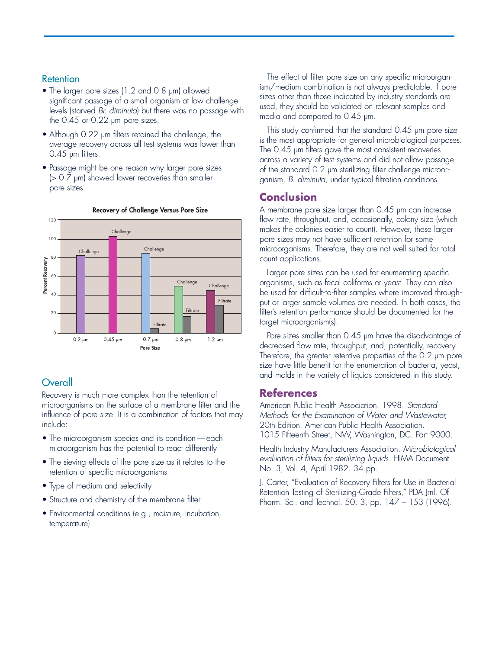### **Retention**

- The larger pore sizes (1.2 and 0.8  $\mu$ m) allowed significant passage of a small organism at low challenge levels (starved Br. diminuta) but there was no passage with the 0.45 or 0.22 µm pore sizes.
- Although 0.22 µm filters retained the challenge, the average recovery across all test systems was lower than 0.45 µm filters.
- Passage might be one reason why larger pore sizes (> 0.7 µm) showed lower recoveries than smaller pore sizes.



### **Recovery of Challenge Versus Pore Size**

### **Overall**

Recovery is much more complex than the retention of microorganisms on the surface of a membrane filter and the influence of pore size. It is a combination of factors that may include:

- The microorganism species and its condition each microorganism has the potential to react differently
- The sieving effects of the pore size as it relates to the retention of specific microorganisms
- Type of medium and selectivity
- Structure and chemistry of the membrane filter
- Environmental conditions (e.g., moisture, incubation, temperature)

The effect of filter pore size on any specific microorganism/medium combination is not always predictable. If pore sizes other than those indicated by industry standards are used, they should be validated on relevant samples and media and compared to 0.45 µm.

This study confirmed that the standard 0.45 µm pore size is the most appropriate for general microbiological purposes. The 0.45 µm filters gave the most consistent recoveries across a variety of test systems and did not allow passage of the standard 0.2 µm sterilizing filter challenge microorganism, B. diminuta, under typical filtration conditions.

### **Conclusion**

A membrane pore size larger than 0.45 µm can increase flow rate, throughput, and, occasionally, colony size (which makes the colonies easier to count). However, these larger pore sizes may not have sufficient retention for some microorganisms. Therefore, they are not well suited for total count applications.

Larger pore sizes can be used for enumerating specific organisms, such as fecal coliforms or yeast. They can also be used for difficult-to-filter samples where improved throughput or larger sample volumes are needed. In both cases, the filter's retention performance should be documented for the target microorganism(s).

Pore sizes smaller than 0.45 µm have the disadvantage of decreased flow rate, throughput, and, potentially, recovery. Therefore, the greater retentive properties of the 0.2 µm pore size have little benefit for the enumeration of bacteria, yeast, and molds in the variety of liquids considered in this study.

### **References**

American Public Health Association. 1998. Standard Methods for the Examination of Water and Wastewater, 20th Edition. American Public Health Association. 1015 Fifteenth Street, NW, Washington, DC. Part 9000.

Health Industry Manufacturers Association. Microbiological evaluation of filters for sterilizing liquids. HIMA Document No. 3, Vol. 4, April 1982. 34 pp.

J. Carter, "Evaluation of Recovery Filters for Use in Bacterial Retention Testing of Sterilizing-Grade Filters," PDA Jrnl. Of Pharm. Sci. and Technol. 50, 3, pp. 147 – 153 (1996).